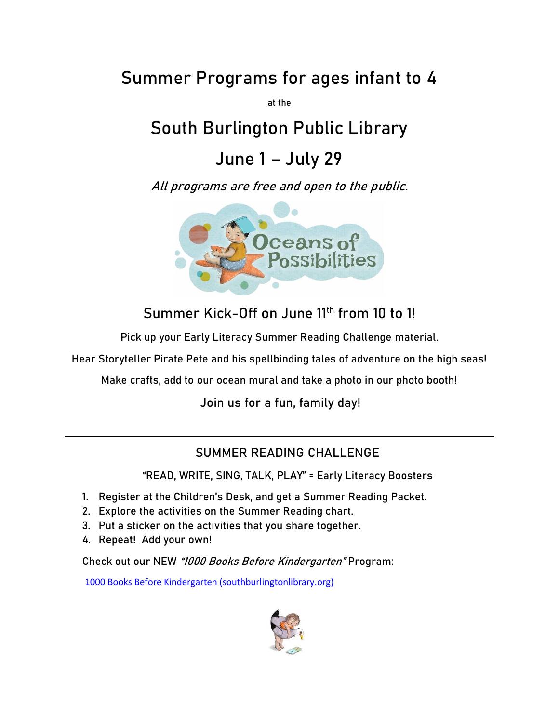# **Summer Programs for ages infant to 4**

**at the**

# **South Burlington Public Library**

### **June 1 – July 29**

**All programs are free and open to the public.** 



**Summer Kick-Off on June 11th from 10 to 1!**

**Pick up your Early Literacy Summer Reading Challenge material.**

**Hear Storyteller Pirate Pete and his spellbinding tales of adventure on the high seas!**

**Make crafts, add to our ocean mural and take a photo in our photo booth!**

**Join us for a fun, family day!**

#### **SUMMER READING CHALLENGE**

**"READ, WRITE, SING, TALK, PLAY" = Early Literacy Boosters**

- **1. Register at the Children's Desk, and get a Summer Reading Packet.**
- **2. Explore the activities on the Summer Reading chart.**
- **3. Put a sticker on the activities that you share together.**
- **4. Repeat! Add your own!**

**Check out our NEW "1000 Books Before Kindergarten" Program:**

[1000 Books Before Kindergarten \(southburlingtonlibrary.org\)](https://southburlingtonlibrary.org/1000-books-before-kindergarten)